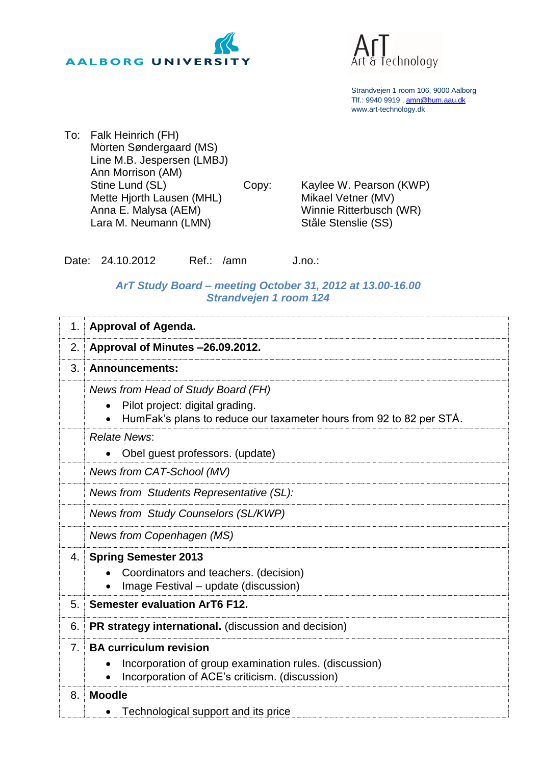



Strandvejen 1 room 106, 9000 Aalborg Tlf.: 9940 9919 , [amn@hum.aau.dk](mailto:amn@hum.aau.dk) www.art-technology.dk

To: Falk Heinrich (FH) Morten Søndergaard (MS) Line M.B. Jespersen (LMBJ) Ann Morrison (AM) Stine Lund (SL) Mette Hjorth Lausen (MHL) Anna E. Malysa (AEM) Lara M. Neumann (LMN)

Copy: Kaylee W. Pearson (KWP) Mikael Vetner (MV) Winnie Ritterbusch (WR) Ståle Stenslie (SS)

Date: 24.10.2012 Ref.: /amn J.no.:

## *ArT Study Board – meeting October 31, 2012 at 13.00-16.00 Strandvejen 1 room 124*

| 1.             | <b>Approval of Agenda.</b>                                                                                                                   |
|----------------|----------------------------------------------------------------------------------------------------------------------------------------------|
| 2.             | Approval of Minutes -26.09.2012.                                                                                                             |
| 3.             | <b>Announcements:</b>                                                                                                                        |
|                | News from Head of Study Board (FH)<br>Pilot project: digital grading.<br>HumFak's plans to reduce our taxameter hours from 92 to 82 per STÅ. |
|                | <b>Relate News:</b><br>Obel guest professors. (update)                                                                                       |
|                | News from CAT-School (MV)                                                                                                                    |
|                | News from Students Representative (SL):                                                                                                      |
|                | News from Study Counselors (SL/KWP)                                                                                                          |
|                | News from Copenhagen (MS)                                                                                                                    |
| 4.             | <b>Spring Semester 2013</b><br>Coordinators and teachers. (decision)<br>Image Festival – update (discussion)                                 |
| 5.             | Semester evaluation ArT6 F12.                                                                                                                |
| 6.             | PR strategy international. (discussion and decision)                                                                                         |
| 7 <sub>1</sub> | <b>BA curriculum revision</b><br>Incorporation of group examination rules. (discussion)<br>Incorporation of ACE's criticism. (discussion)    |
| 8.             | <b>Moodle</b><br>Technological support and its price                                                                                         |